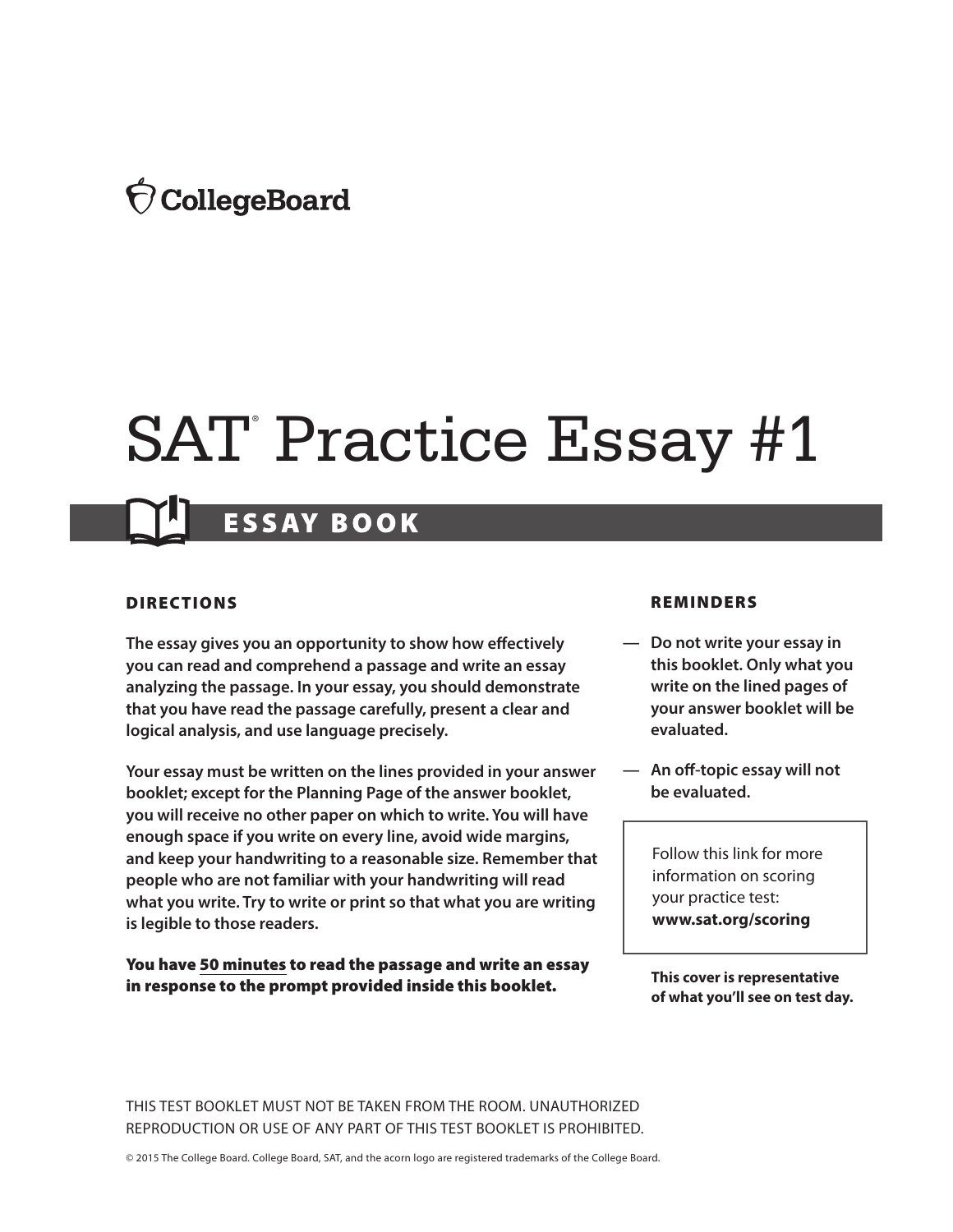### $\acute{\nabla}$  CollegeBoard

# SAT<sup>®</sup> Practice Essay #1

## **ESSAY BOOK**

#### DIRECTIONS

**The essay gives you an opportunity to show how effectively you can read and comprehend a passage and write an essay analyzing the passage. In your essay, you should demonstrate that you have read the passage carefully, present a clear and logical analysis, and use language precisely.** 

**Your essay must be written on the lines provided in your answer booklet; except for the Planning Page of the answer booklet, you will receive no other paper on which to write. You will have enough space if you write on every line, avoid wide margins, and keep your handwriting to a reasonable size. Remember that people who are not familiar with your handwriting will read what you write. Try to write or print so that what you are writing is legible to those readers.**

You have 50 minutes to read the passage and write an essay in response to the prompt provided inside this booklet.

#### **REMINDERS**

- **— Do not write your essay in this booklet. Only what you write on the lined pages of your answer booklet will be evaluated.**
- **— An off-topic essay will not be evaluated.**

Follow this link for more information on scoring your practice test: **www.sat.org/scoring**

**This cover is representative of what you'll see on test day.**

THIS TEST BOOKLET MUST NOT BE TAKEN FROM THE ROOM. UNAUTHORIZED REPRODUCTION OR USE OF ANY PART OF THIS TEST BOOKLET IS PROHIBITED.

© 2015 The College Board. College Board, SAT, and the acorn logo are registered trademarks of the College Board.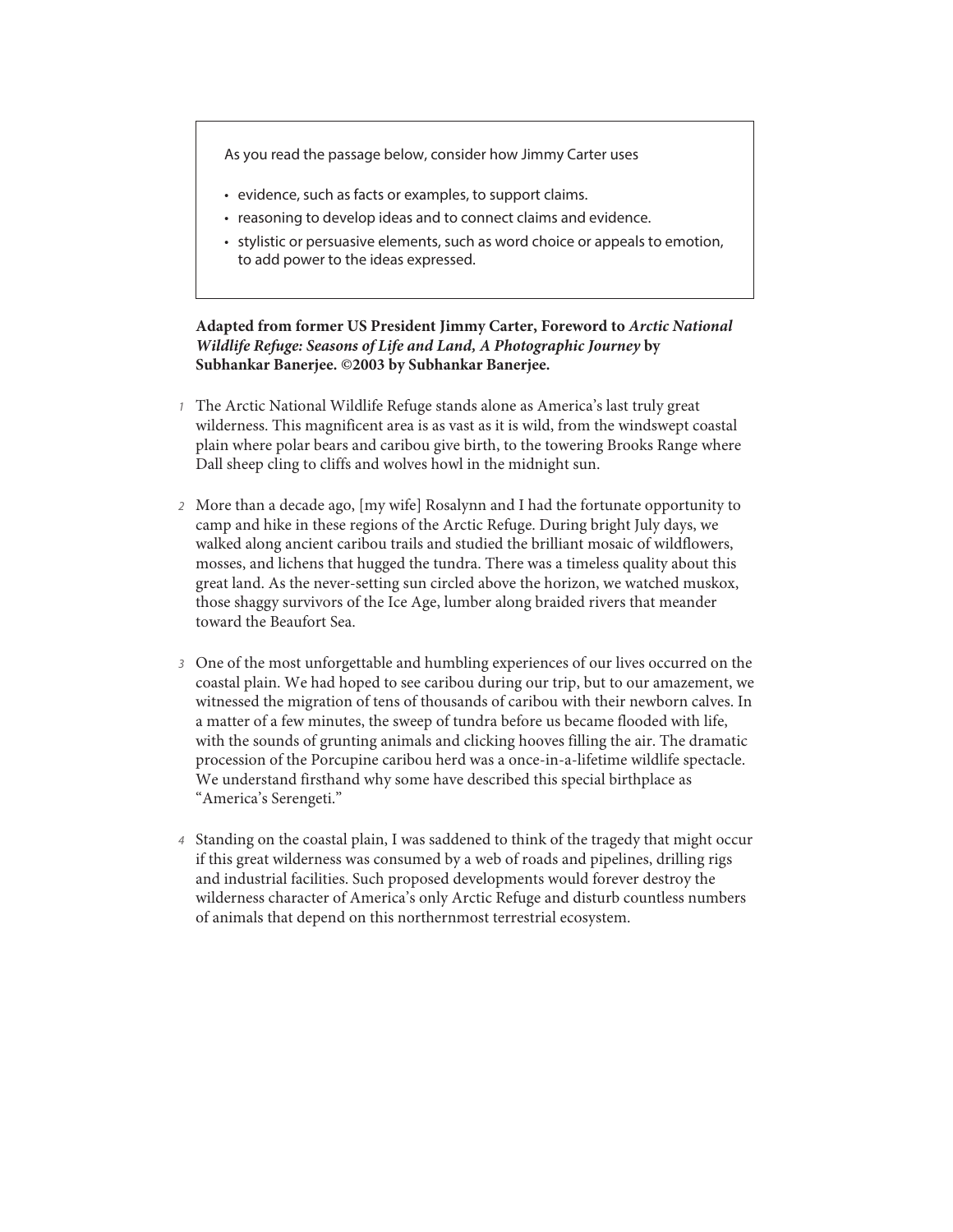As you read the passage below, consider how Jimmy Carter uses

- evidence, such as facts or examples, to support claims.
- reasoning to develop ideas and to connect claims and evidence.
- stylistic or persuasive elements, such as word choice or appeals to emotion, to add power to the ideas expressed.

#### **Adapted from former US President Jimmy Carter, Foreword to** *Arctic National Wildlife Refuge: Seasons of Life and Land, A Photographic Journey* **by Subhankar Banerjee. ©2003 by Subhankar Banerjee.**

- 1 The Arctic National Wildlife Refuge stands alone as America's last truly great wilderness. This magnificent area is as vast as it is wild, from the windswept coastal plain where polar bears and caribou give birth, to the towering Brooks Range where Dall sheep cling to cliffs and wolves howl in the midnight sun.
- 2 More than a decade ago, [my wife] Rosalynn and I had the fortunate opportunity to camp and hike in these regions of the Arctic Refuge. During bright July days, we walked along ancient caribou trails and studied the brilliant mosaic of wildflowers, mosses, and lichens that hugged the tundra. There was a timeless quality about this great land. As the never-setting sun circled above the horizon, we watched muskox, those shaggy survivors of the Ice Age, lumber along braided rivers that meander toward the Beaufort Sea.
- 3 One of the most unforgettable and humbling experiences of our lives occurred on the coastal plain. We had hoped to see caribou during our trip, but to our amazement, we witnessed the migration of tens of thousands of caribou with their newborn calves. In a matter of a few minutes, the sweep of tundra before us became flooded with life, with the sounds of grunting animals and clicking hooves filling the air. The dramatic procession of the Porcupine caribou herd was a once-in-a-lifetime wildlife spectacle. We understand firsthand why some have described this special birthplace as "America's Serengeti."
- 4 Standing on the coastal plain, I was saddened to think of the tragedy that might occur if this great wilderness was consumed by a web of roads and pipelines, drilling rigs and industrial facilities. Such proposed developments would forever destroy the wilderness character of America's only Arctic Refuge and disturb countless numbers of animals that depend on this northernmost terrestrial ecosystem.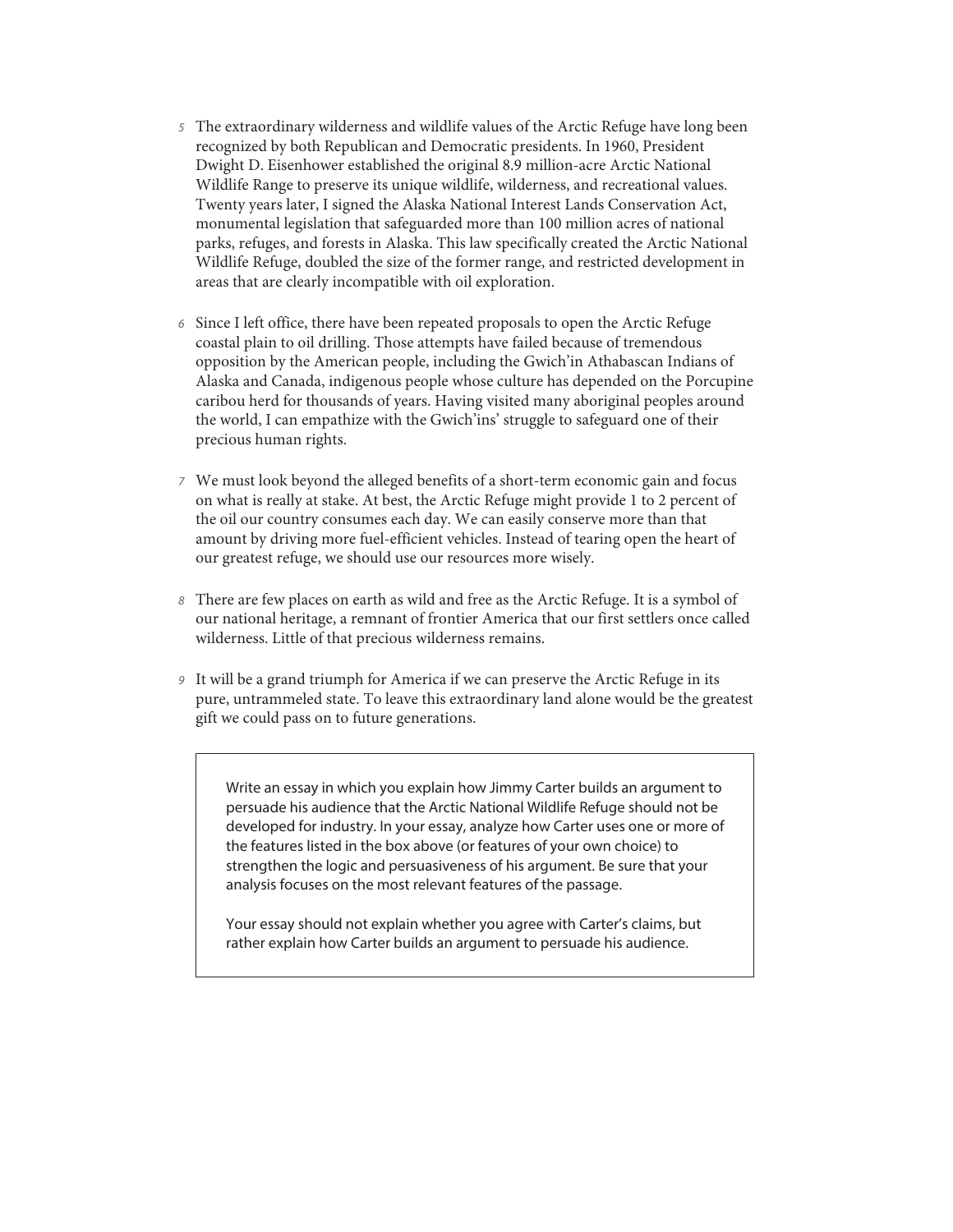- 5 The extraordinary wilderness and wildlife values of the Arctic Refuge have long been recognized by both Republican and Democratic presidents. In 1960, President Dwight D. Eisenhower established the original 8.9 million-acre Arctic National Wildlife Range to preserve its unique wildlife, wilderness, and recreational values. Twenty years later, I signed the Alaska National Interest Lands Conservation Act, monumental legislation that safeguarded more than 100 million acres of national parks, refuges, and forests in Alaska. This law specifically created the Arctic National Wildlife Refuge, doubled the size of the former range, and restricted development in areas that are clearly incompatible with oil exploration.
- 6 Since I left office, there have been repeated proposals to open the Arctic Refuge coastal plain to oil drilling. Those attempts have failed because of tremendous opposition by the American people, including the Gwich'in Athabascan Indians of Alaska and Canada, indigenous people whose culture has depended on the Porcupine caribou herd for thousands of years. Having visited many aboriginal peoples around the world, I can empathize with the Gwich'ins' struggle to safeguard one of their precious human rights.
- 7 We must look beyond the alleged benefits of a short-term economic gain and focus on what is really at stake. At best, the Arctic Refuge might provide 1 to 2 percent of the oil our country consumes each day. We can easily conserve more than that amount by driving more fuel-efficient vehicles. Instead of tearing open the heart of our greatest refuge, we should use our resources more wisely.
- 8 There are few places on earth as wild and free as the Arctic Refuge. It is a symbol of our national heritage, a remnant of frontier America that our first settlers once called wilderness. Little of that precious wilderness remains.
- 9 It will be a grand triumph for America if we can preserve the Arctic Refuge in its pure, untrammeled state. To leave this extraordinary land alone would be the greatest gift we could pass on to future generations.

Write an essay in which you explain how Jimmy Carter builds an argument to persuade his audience that the Arctic National Wildlife Refuge should not be developed for industry. In your essay, analyze how Carter uses one or more of the features listed in the box above (or features of your own choice) to strengthen the logic and persuasiveness of his argument. Be sure that your analysis focuses on the most relevant features of the passage.

Your essay should not explain whether you agree with Carter's claims, but rather explain how Carter builds an argument to persuade his audience.